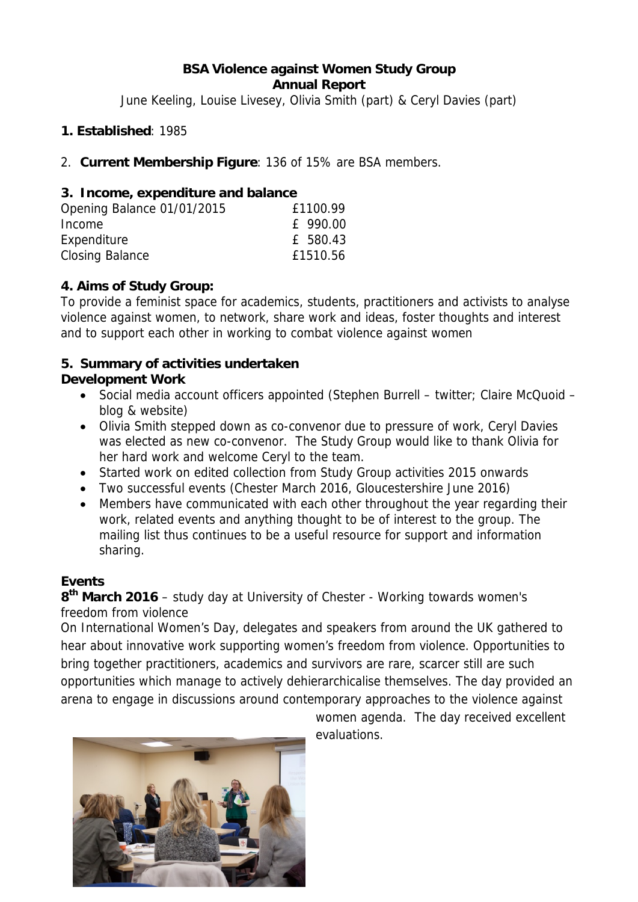#### **BSA Violence against Women Study Group Annual Report**

June Keeling, Louise Livesey, Olivia Smith (part) & Ceryl Davies (part)

### **1. Established**: 1985

2. **Current Membership Figure**: 136 of 15% are BSA members.

### **3. Income, expenditure and balance**

| Opening Balance 01/01/2015 | £1100.99 |
|----------------------------|----------|
| Income                     | £ 990.00 |
| Expenditure                | £ 580.43 |
| Closing Balance            | £1510.56 |

### **4. Aims of Study Group:**

To provide a feminist space for academics, students, practitioners and activists to analyse violence against women, to network, share work and ideas, foster thoughts and interest and to support each other in working to combat violence against women

## **5. Summary of activities undertaken**

### **Development Work**

- Social media account officers appointed (Stephen Burrell twitter; Claire McQuoid blog & website)
- Olivia Smith stepped down as co-convenor due to pressure of work, Ceryl Davies was elected as new co-convenor. The Study Group would like to thank Olivia for her hard work and welcome Ceryl to the team.
- Started work on edited collection from Study Group activities 2015 onwards
- Two successful events (Chester March 2016, Gloucestershire June 2016)
- Members have communicated with each other throughout the year regarding their work, related events and anything thought to be of interest to the group. The mailing list thus continues to be a useful resource for support and information sharing.

## **Events**

**8th March 2016** – study day at University of Chester - Working towards women's freedom from violence

On International Women's Day, delegates and speakers from around the UK gathered to hear about innovative work supporting women's freedom from violence. Opportunities to bring together practitioners, academics and survivors are rare, scarcer still are such opportunities which manage to actively dehierarchicalise themselves. The day provided an arena to engage in discussions around contemporary approaches to the violence against



women agenda. The day received excellent evaluations.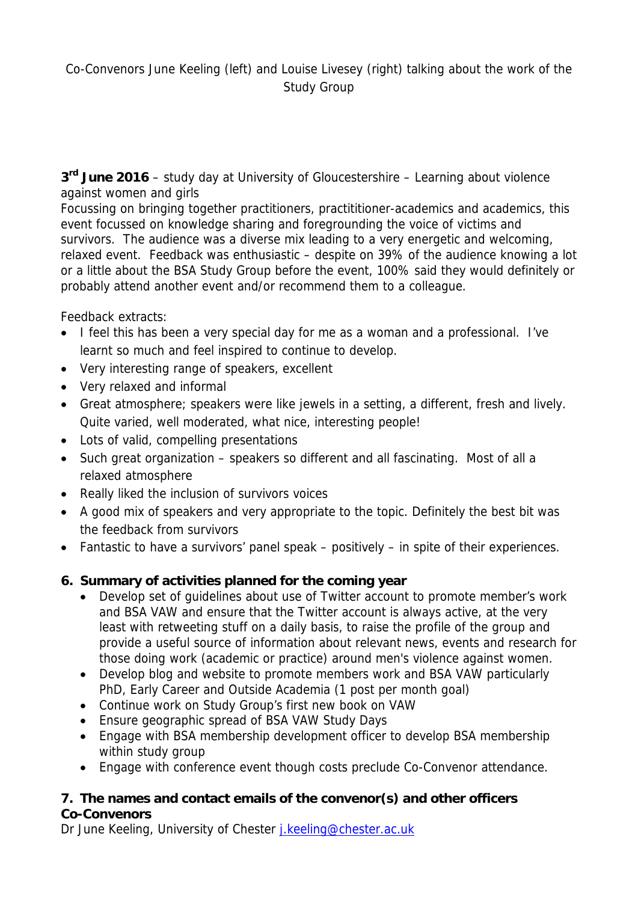# Co-Convenors June Keeling (left) and Louise Livesey (right) talking about the work of the Study Group

**3rd June 2016** – study day at University of Gloucestershire – Learning about violence against women and girls

Focussing on bringing together practitioners, practititioner-academics and academics, this event focussed on knowledge sharing and foregrounding the voice of victims and survivors. The audience was a diverse mix leading to a very energetic and welcoming, relaxed event. Feedback was enthusiastic – despite on 39% of the audience knowing a lot or a little about the BSA Study Group before the event, 100% said they would definitely or probably attend another event and/or recommend them to a colleague.

Feedback extracts:

- I feel this has been a very special day for me as a woman and a professional. I've learnt so much and feel inspired to continue to develop.
- Very interesting range of speakers, excellent
- Very relaxed and informal
- Great atmosphere; speakers were like jewels in a setting, a different, fresh and lively. Quite varied, well moderated, what nice, interesting people!
- Lots of valid, compelling presentations
- Such great organization speakers so different and all fascinating. Most of all a relaxed atmosphere
- Really liked the inclusion of survivors voices
- A good mix of speakers and very appropriate to the topic. Definitely the best bit was the feedback from survivors
- Fantastic to have a survivors' panel speak positively in spite of their experiences.

## **6. Summary of activities planned for the coming year**

- Develop set of guidelines about use of Twitter account to promote member's work and BSA VAW and ensure that the Twitter account is always active, at the very least with retweeting stuff on a daily basis, to raise the profile of the group and provide a useful source of information about relevant news, events and research for those doing work (academic or practice) around men's violence against women.
- Develop blog and website to promote members work and BSA VAW particularly PhD, Early Career and Outside Academia (1 post per month goal)
- Continue work on Study Group's first new book on VAW
- Ensure geographic spread of BSA VAW Study Days
- Engage with BSA membership development officer to develop BSA membership within study group
- Engage with conference event though costs preclude Co-Convenor attendance.

### **7. The names and contact emails of the convenor(s) and other officers Co-Convenors**

Dr June Keeling, University of Chester *j.keeling@chester.ac.uk*